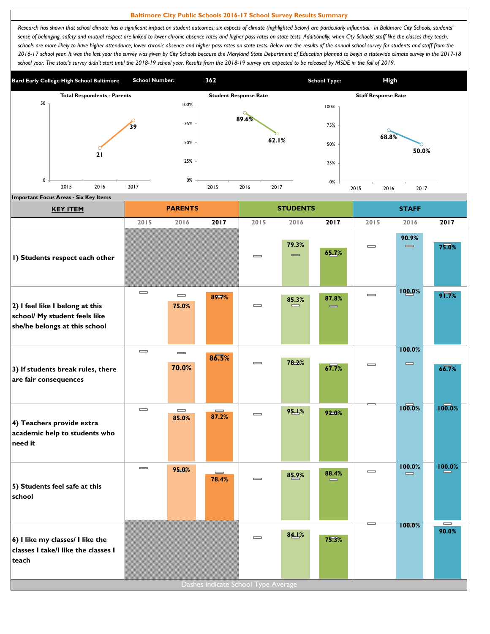## **Baltimore City Public Schools 2016-17 School Survey Results Summary**

Research has shown that school climate has a significant impact on student outcomes; six aspects of climate (highlighted below) are particularly influential. In Baltimore City Schools, students' sense of belonging, safety and mutual respect are linked to lower chronic absence rates and higher pass rates on state tests. Additionally, when City Schools' staff like the classes they teach, schools are more likely to have higher attendance, lower chronic absence and higher pass rates on state tests. Below are the results of the annual school survey for students and staff from the *2016-17 school year. It was the last year the survey was given by City Schools because the Maryland State Department of Education planned to begin a statewide climate survey in the 2017-18*  school year. The state's survey didn't start until the 2018-19 school year. Results from the 2018-19 survey are expected to be released by MSDE in the fall of 2019.



| <b>KEY ITEM</b>                                                                                   |                              | <b>PARENTS</b>                        |                                       |                                 | <b>STUDENTS</b>            |       |                              | <b>STAFF</b>                           |                                       |
|---------------------------------------------------------------------------------------------------|------------------------------|---------------------------------------|---------------------------------------|---------------------------------|----------------------------|-------|------------------------------|----------------------------------------|---------------------------------------|
|                                                                                                   | 2015                         | 2016                                  | 2017                                  | 2015                            | 2016                       | 2017  | 2015                         | 2016                                   | 2017                                  |
| I) Students respect each other                                                                    |                              |                                       |                                       | $\qquad \qquad \blacksquare$    | 79.3%<br>$\qquad \qquad =$ | 65.7% | $\qquad \qquad \blacksquare$ | 90.9%<br>$\qquad \qquad \blacksquare$  | 75.0%                                 |
| 2) I feel like I belong at this<br>school/ My student feels like<br>she/he belongs at this school | $\equiv$                     | $\qquad \qquad \blacksquare$<br>75.0% | 89.7%                                 | $\qquad \qquad = \qquad \qquad$ | 85.3%                      | 87.8% | $\qquad \qquad \blacksquare$ | 100.0%                                 | $9\sqrt{7}\%$                         |
| 3) If students break rules, there<br>are fair consequences                                        | $\qquad \qquad \blacksquare$ | $\equiv$<br>70.0%                     | 86.5%                                 | $\qquad \qquad \blacksquare$    | 78.2%                      | 67.7% | $\qquad \qquad \blacksquare$ | 100.0%<br>$\qquad \qquad \blacksquare$ | 66.7%                                 |
| 4) Teachers provide extra<br>academic help to students who<br>need it                             | $\qquad \qquad \blacksquare$ | $\qquad \qquad \blacksquare$<br>85.0% | $\equiv$<br>87.2%                     | $\equiv$                        | 95.1%                      | 92.0% |                              | 100.0%                                 | 100.0%                                |
| 5) Students feel safe at this<br>school                                                           | $\qquad \qquad \blacksquare$ | 95.0%                                 | $\qquad \qquad \blacksquare$<br>78.4% | $\equiv$                        | 85.9%                      | 88.4% | $\qquad \qquad \blacksquare$ | 100.0%<br>$\equiv$                     | 100.0%                                |
| 6) I like my classes/ I like the<br>classes I take/I like the classes I<br>teach                  |                              |                                       | Dashes indicate School Type Average   | $\qquad \qquad \blacksquare$    | 84.1%                      | 75.3% | I                            | 100.0%                                 | $\qquad \qquad \blacksquare$<br>90.0% |